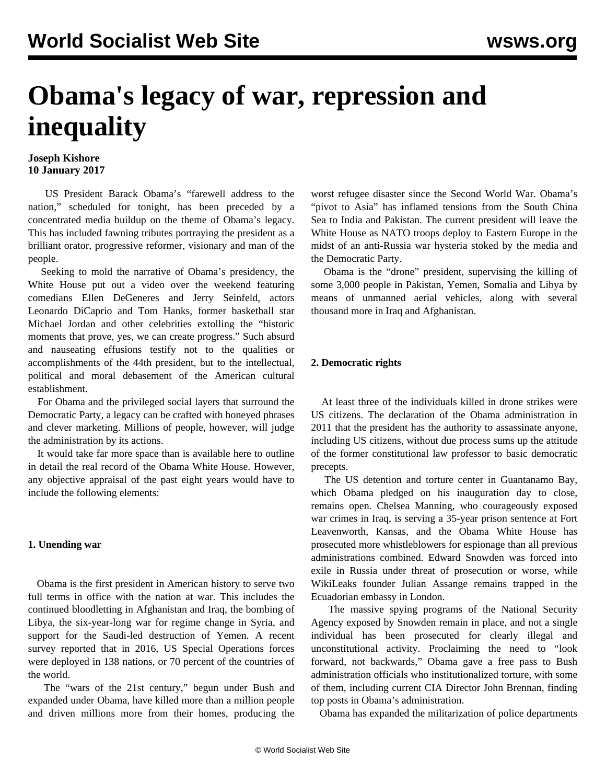# **Obama's legacy of war, repression and inequality**

### **Joseph Kishore 10 January 2017**

 US President Barack Obama's "farewell address to the nation," scheduled for tonight, has been preceded by a concentrated media buildup on the theme of Obama's legacy. This has included fawning tributes portraying the president as a brilliant orator, progressive reformer, visionary and man of the people.

 Seeking to mold the narrative of Obama's presidency, the White House put out a video over the weekend featuring comedians Ellen DeGeneres and Jerry Seinfeld, actors Leonardo DiCaprio and Tom Hanks, former basketball star Michael Jordan and other celebrities extolling the "historic moments that prove, yes, we can create progress." Such absurd and nauseating effusions testify not to the qualities or accomplishments of the 44th president, but to the intellectual, political and moral debasement of the American cultural establishment.

 For Obama and the privileged social layers that surround the Democratic Party, a legacy can be crafted with honeyed phrases and clever marketing. Millions of people, however, will judge the administration by its actions.

 It would take far more space than is available here to outline in detail the real record of the Obama White House. However, any objective appraisal of the past eight years would have to include the following elements:

### **1. Unending war**

 Obama is the first president in American history to serve two full terms in office with the nation at war. This includes the continued bloodletting in Afghanistan and Iraq, the bombing of Libya, the six-year-long war for regime change in Syria, and support for the Saudi-led destruction of Yemen. A recent survey reported that in 2016, US Special Operations forces were deployed in 138 nations, or 70 percent of the countries of the world.

 The "wars of the 21st century," begun under Bush and expanded under Obama, have killed more than a million people and driven millions more from their homes, producing the worst refugee disaster since the Second World War. Obama's "pivot to Asia" has inflamed tensions from the South China Sea to India and Pakistan. The current president will leave the White House as NATO troops deploy to Eastern Europe in the midst of an anti-Russia war hysteria stoked by the media and the Democratic Party.

 Obama is the "drone" president, supervising the killing of some 3,000 people in Pakistan, Yemen, Somalia and Libya by means of unmanned aerial vehicles, along with several thousand more in Iraq and Afghanistan.

## **2. Democratic rights**

 At least three of the individuals killed in drone strikes were US citizens. The declaration of the Obama administration in 2011 that the president has the authority to assassinate anyone, including US citizens, without due process sums up the attitude of the former constitutional law professor to basic democratic precepts.

 The US detention and torture center in Guantanamo Bay, which Obama pledged on his inauguration day to close, remains open. Chelsea Manning, who courageously exposed war crimes in Iraq, is serving a 35-year prison sentence at Fort Leavenworth, Kansas, and the Obama White House has prosecuted more whistleblowers for espionage than all previous administrations combined. Edward Snowden was forced into exile in Russia under threat of prosecution or worse, while WikiLeaks founder Julian Assange remains trapped in the Ecuadorian embassy in London.

 The massive spying programs of the National Security Agency exposed by Snowden remain in place, and not a single individual has been prosecuted for clearly illegal and unconstitutional activity. Proclaiming the need to "look forward, not backwards," Obama gave a free pass to Bush administration officials who institutionalized torture, with some of them, including current CIA Director John Brennan, finding top posts in Obama's administration.

Obama has expanded the militarization of police departments